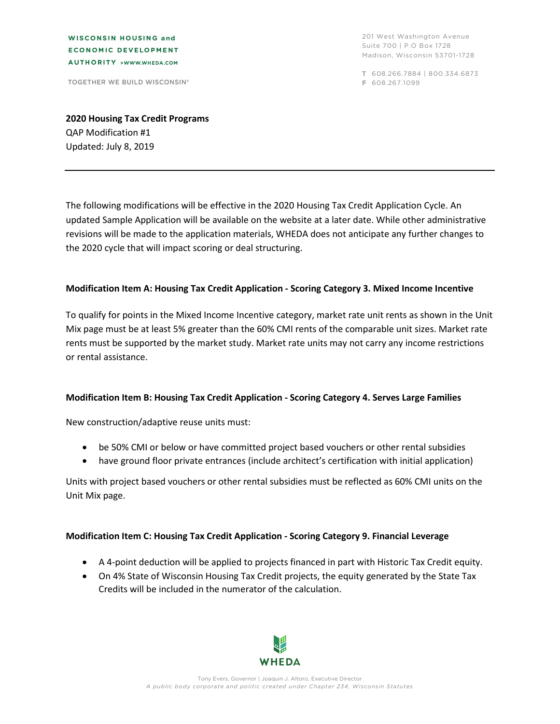**WISCONSIN HOUSING and ECONOMIC DEVELOPMENT** AUTHORITY >WWW.WHEDA.COM

TOGETHER WE BUILD WISCONSIN®

201 West Washington Avenue Suite 700 | P.O Box 1728 Madison, Wisconsin 53701-1728

T 608.266.7884 | 800.334.6873 F 608.267.1099

**2020 Housing Tax Credit Programs** QAP Modification #1 Updated: July 8, 2019

The following modifications will be effective in the 2020 Housing Tax Credit Application Cycle. An updated Sample Application will be available on the website at a later date. While other administrative revisions will be made to the application materials, WHEDA does not anticipate any further changes to the 2020 cycle that will impact scoring or deal structuring.

#### **Modification Item A: Housing Tax Credit Application - Scoring Category 3. Mixed Income Incentive**

To qualify for points in the Mixed Income Incentive category, market rate unit rents as shown in the Unit Mix page must be at least 5% greater than the 60% CMI rents of the comparable unit sizes. Market rate rents must be supported by the market study. Market rate units may not carry any income restrictions or rental assistance.

#### **Modification Item B: Housing Tax Credit Application - Scoring Category 4. Serves Large Families**

New construction/adaptive reuse units must:

- be 50% CMI or below or have committed project based vouchers or other rental subsidies
- have ground floor private entrances (include architect's certification with initial application)

Units with project based vouchers or other rental subsidies must be reflected as 60% CMI units on the Unit Mix page.

## **Modification Item C: Housing Tax Credit Application - Scoring Category 9. Financial Leverage**

- A 4-point deduction will be applied to projects financed in part with Historic Tax Credit equity.
- On 4% State of Wisconsin Housing Tax Credit projects, the equity generated by the State Tax Credits will be included in the numerator of the calculation.